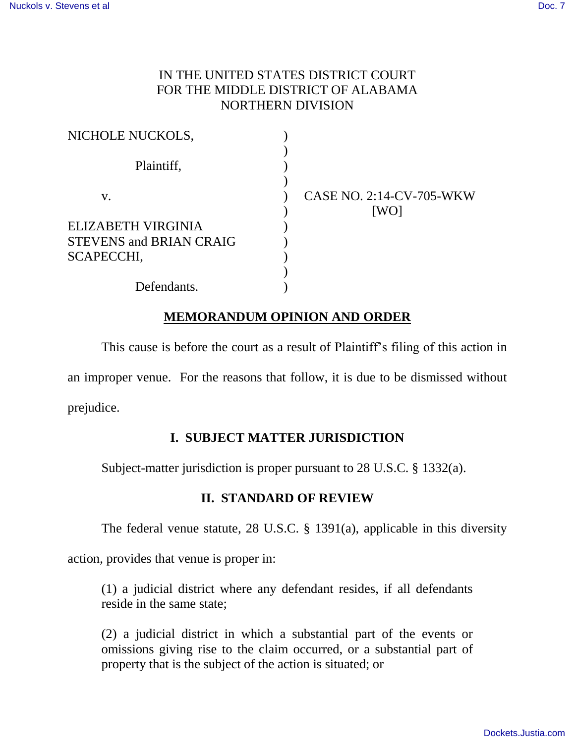### IN THE UNITED STATES DISTRICT COURT FOR THE MIDDLE DISTRICT OF ALABAMA NORTHERN DIVISION

| NICHOLE NUCKOLS,               |                                         |
|--------------------------------|-----------------------------------------|
| Plaintiff,                     |                                         |
| V.                             | <b>CASE NO. 2:14-CV-705-WKW</b><br>[WO] |
| ELIZABETH VIRGINIA             |                                         |
| <b>STEVENS and BRIAN CRAIG</b> |                                         |
| SCAPECCHI,                     |                                         |
|                                |                                         |
| Defendants.                    |                                         |

## **MEMORANDUM OPINION AND ORDER**

This cause is before the court as a result of Plaintiff's filing of this action in an improper venue. For the reasons that follow, it is due to be dismissed without prejudice.

## **I. SUBJECT MATTER JURISDICTION**

Subject-matter jurisdiction is proper pursuant to 28 U.S.C. § 1332(a).

## **II. STANDARD OF REVIEW**

The federal venue statute, 28 U.S.C. § 1391(a), applicable in this diversity

action, provides that venue is proper in:

(1) a judicial district where any defendant resides, if all defendants reside in the same state;

(2) a judicial district in which a substantial part of the events or omissions giving rise to the claim occurred, or a substantial part of property that is the subject of the action is situated; or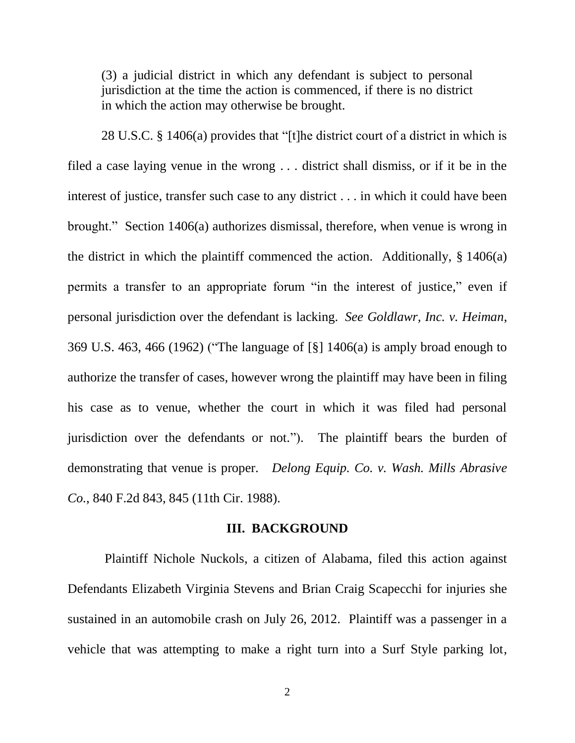(3) a judicial district in which any defendant is subject to personal jurisdiction at the time the action is commenced, if there is no district in which the action may otherwise be brought.

28 U.S.C. § 1406(a) provides that "[t]he district court of a district in which is filed a case laying venue in the wrong . . . district shall dismiss, or if it be in the interest of justice, transfer such case to any district . . . in which it could have been brought." Section 1406(a) authorizes dismissal, therefore, when venue is wrong in the district in which the plaintiff commenced the action. Additionally,  $\S 1406(a)$ permits a transfer to an appropriate forum "in the interest of justice," even if personal jurisdiction over the defendant is lacking. *See Goldlawr, Inc. v. Heiman*, 369 U.S. 463, 466 (1962) ("The language of [§] 1406(a) is amply broad enough to authorize the transfer of cases, however wrong the plaintiff may have been in filing his case as to venue, whether the court in which it was filed had personal jurisdiction over the defendants or not."). The plaintiff bears the burden of demonstrating that venue is proper. *Delong Equip. Co. v. Wash. Mills Abrasive Co.*, 840 F.2d 843, 845 (11th Cir. 1988).

#### **III. BACKGROUND**

Plaintiff Nichole Nuckols, a citizen of Alabama, filed this action against Defendants Elizabeth Virginia Stevens and Brian Craig Scapecchi for injuries she sustained in an automobile crash on July 26, 2012. Plaintiff was a passenger in a vehicle that was attempting to make a right turn into a Surf Style parking lot,

2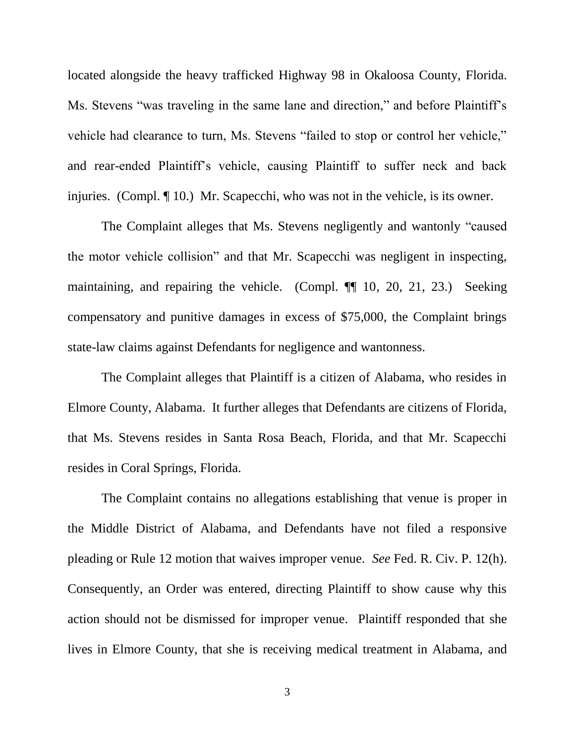located alongside the heavy trafficked Highway 98 in Okaloosa County, Florida. Ms. Stevens "was traveling in the same lane and direction," and before Plaintiff's vehicle had clearance to turn, Ms. Stevens "failed to stop or control her vehicle," and rear-ended Plaintiff's vehicle, causing Plaintiff to suffer neck and back injuries. (Compl. ¶ 10.) Mr. Scapecchi, who was not in the vehicle, is its owner.

The Complaint alleges that Ms. Stevens negligently and wantonly "caused the motor vehicle collision" and that Mr. Scapecchi was negligent in inspecting, maintaining, and repairing the vehicle. (Compl. ¶¶ 10, 20, 21, 23.) Seeking compensatory and punitive damages in excess of \$75,000, the Complaint brings state-law claims against Defendants for negligence and wantonness.

The Complaint alleges that Plaintiff is a citizen of Alabama, who resides in Elmore County, Alabama. It further alleges that Defendants are citizens of Florida, that Ms. Stevens resides in Santa Rosa Beach, Florida, and that Mr. Scapecchi resides in Coral Springs, Florida.

The Complaint contains no allegations establishing that venue is proper in the Middle District of Alabama, and Defendants have not filed a responsive pleading or Rule 12 motion that waives improper venue. *See* Fed. R. Civ. P. 12(h). Consequently, an Order was entered, directing Plaintiff to show cause why this action should not be dismissed for improper venue. Plaintiff responded that she lives in Elmore County, that she is receiving medical treatment in Alabama, and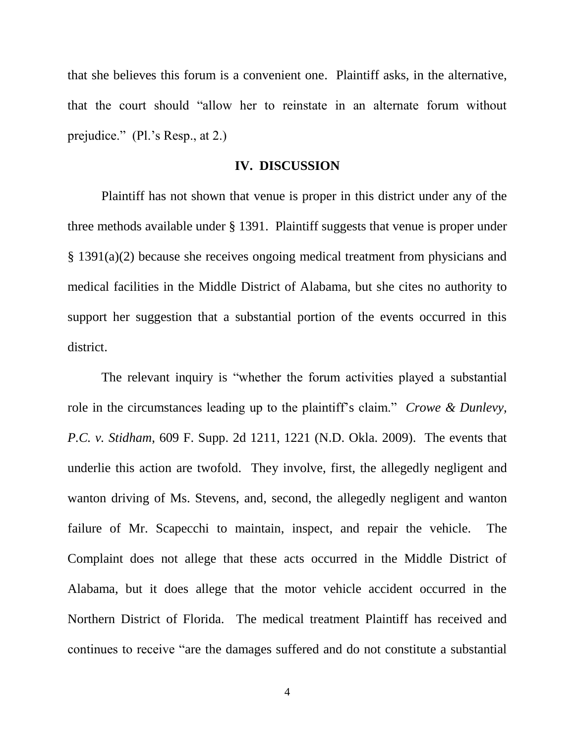that she believes this forum is a convenient one. Plaintiff asks, in the alternative, that the court should "allow her to reinstate in an alternate forum without prejudice." (Pl.'s Resp., at 2.)

#### **IV. DISCUSSION**

Plaintiff has not shown that venue is proper in this district under any of the three methods available under § 1391. Plaintiff suggests that venue is proper under § 1391(a)(2) because she receives ongoing medical treatment from physicians and medical facilities in the Middle District of Alabama, but she cites no authority to support her suggestion that a substantial portion of the events occurred in this district.

The relevant inquiry is "whether the forum activities played a substantial role in the circumstances leading up to the plaintiff's claim." *Crowe & Dunlevy, P.C. v. Stidham*, 609 F. Supp. 2d 1211, 1221 (N.D. Okla. 2009). The events that underlie this action are twofold. They involve, first, the allegedly negligent and wanton driving of Ms. Stevens, and, second, the allegedly negligent and wanton failure of Mr. Scapecchi to maintain, inspect, and repair the vehicle. The Complaint does not allege that these acts occurred in the Middle District of Alabama, but it does allege that the motor vehicle accident occurred in the Northern District of Florida. The medical treatment Plaintiff has received and continues to receive "are the damages suffered and do not constitute a substantial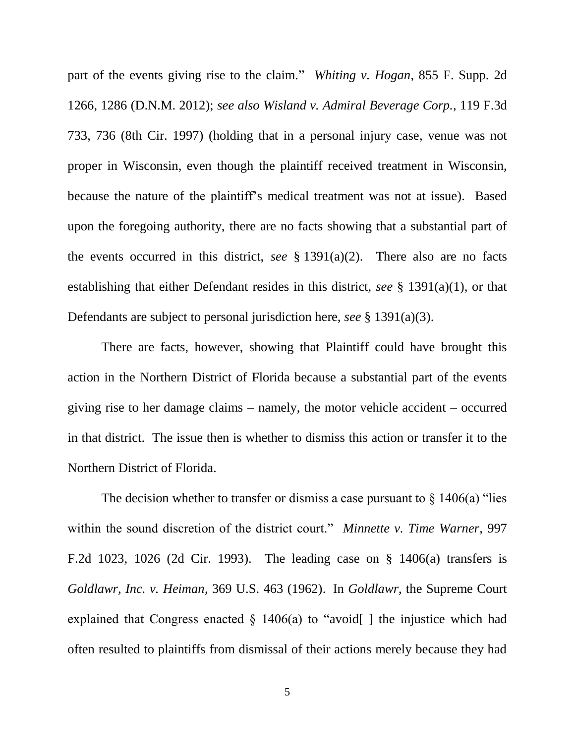part of the events giving rise to the claim." *Whiting v. Hogan*, 855 F. Supp. 2d 1266, 1286 (D.N.M. 2012); *see also Wisland v. Admiral Beverage Corp.*, 119 F.3d 733, 736 (8th Cir. 1997) (holding that in a personal injury case, venue was not proper in Wisconsin, even though the plaintiff received treatment in Wisconsin, because the nature of the plaintiff's medical treatment was not at issue). Based upon the foregoing authority, there are no facts showing that a substantial part of the events occurred in this district, *see* § 1391(a)(2). There also are no facts establishing that either Defendant resides in this district, *see* § 1391(a)(1), or that Defendants are subject to personal jurisdiction here, *see* § 1391(a)(3).

There are facts, however, showing that Plaintiff could have brought this action in the Northern District of Florida because a substantial part of the events giving rise to her damage claims – namely, the motor vehicle accident – occurred in that district. The issue then is whether to dismiss this action or transfer it to the Northern District of Florida.

The decision whether to transfer or dismiss a case pursuant to  $\S 1406(a)$  "lies within the sound discretion of the district court." *Minnette v. Time Warner*, 997 F.2d 1023, 1026 (2d Cir. 1993). The leading case on § 1406(a) transfers is *Goldlawr, Inc. v. Heiman*, 369 U.S. 463 (1962). In *Goldlawr*, the Supreme Court explained that Congress enacted  $\S$  1406(a) to "avoid[] the injustice which had often resulted to plaintiffs from dismissal of their actions merely because they had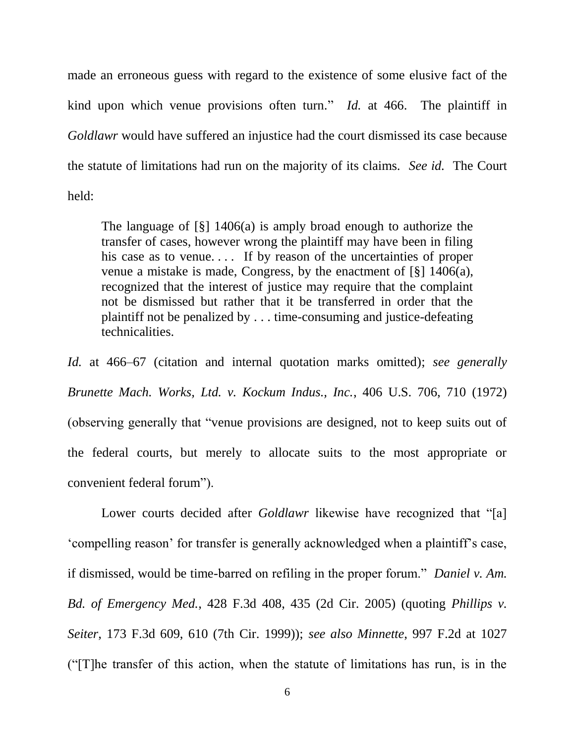made an erroneous guess with regard to the existence of some elusive fact of the kind upon which venue provisions often turn." *Id.* at 466. The plaintiff in *Goldlawr* would have suffered an injustice had the court dismissed its case because the statute of limitations had run on the majority of its claims. *See id.* The Court held:

The language of [§] 1406(a) is amply broad enough to authorize the transfer of cases, however wrong the plaintiff may have been in filing his case as to venue.... If by reason of the uncertainties of proper venue a mistake is made, Congress, by the enactment of [§] 1406(a), recognized that the interest of justice may require that the complaint not be dismissed but rather that it be transferred in order that the plaintiff not be penalized by . . . time-consuming and justice-defeating technicalities.

*Id.* at 466–67 (citation and internal quotation marks omitted); *see generally Brunette Mach. Works, Ltd. v. Kockum Indus., Inc.*, 406 U.S. 706, 710 (1972) (observing generally that "venue provisions are designed, not to keep suits out of the federal courts, but merely to allocate suits to the most appropriate or convenient federal forum").

Lower courts decided after *Goldlawr* likewise have recognized that "[a] 'compelling reason' for transfer is generally acknowledged when a plaintiff's case, if dismissed, would be time-barred on refiling in the proper forum." *Daniel v. Am. Bd. of Emergency Med.*, 428 F.3d 408, 435 (2d Cir. 2005) (quoting *Phillips v. Seiter*, 173 F.3d 609, 610 (7th Cir. 1999)); *see also Minnette*, 997 F.2d at 1027  $^{\prime\prime}$ [T]he transfer of this action, when the statute of limitations has run, is in the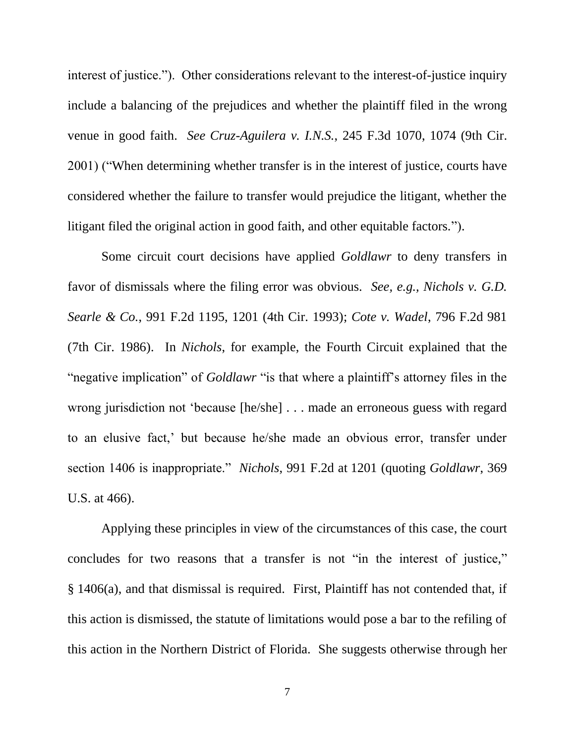interest of justice."). Other considerations relevant to the interest-of-justice inquiry include a balancing of the prejudices and whether the plaintiff filed in the wrong venue in good faith. *See Cruz-Aguilera v. I.N.S.*, 245 F.3d 1070, 1074 (9th Cir. 2001) ("When determining whether transfer is in the interest of justice, courts have considered whether the failure to transfer would prejudice the litigant, whether the litigant filed the original action in good faith, and other equitable factors.").

Some circuit court decisions have applied *Goldlawr* to deny transfers in favor of dismissals where the filing error was obvious. *See, e.g., Nichols v. G.D. Searle & Co.*, 991 F.2d 1195, 1201 (4th Cir. 1993); *Cote v. Wadel*, 796 F.2d 981 (7th Cir. 1986). In *Nichols*, for example, the Fourth Circuit explained that the "negative implication" of *Goldlawr* "is that where a plaintiff's attorney files in the wrong jurisdiction not 'because [he/she] . . . made an erroneous guess with regard to an elusive fact,' but because he/she made an obvious error, transfer under section 1406 is inappropriate." *Nichols*, 991 F.2d at 1201 (quoting *Goldlawr*, 369 U.S. at 466).

Applying these principles in view of the circumstances of this case, the court concludes for two reasons that a transfer is not "in the interest of justice," § 1406(a), and that dismissal is required. First, Plaintiff has not contended that, if this action is dismissed, the statute of limitations would pose a bar to the refiling of this action in the Northern District of Florida. She suggests otherwise through her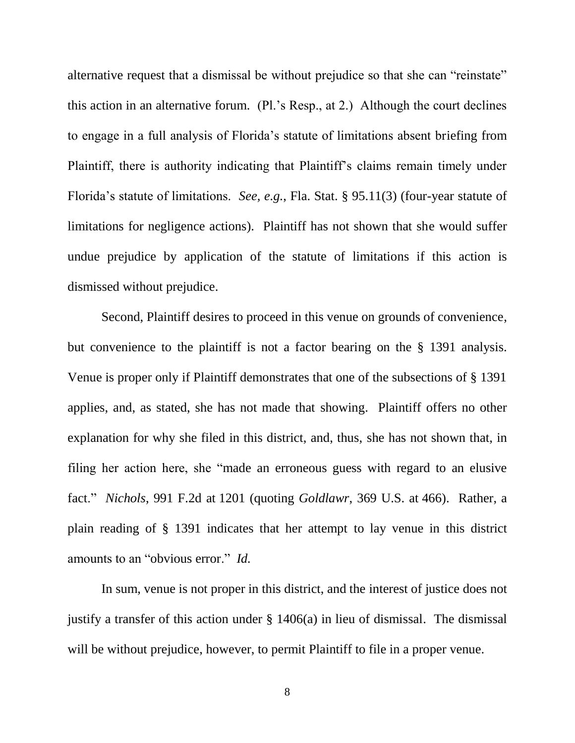alternative request that a dismissal be without prejudice so that she can "reinstate" this action in an alternative forum. (Pl.'s Resp., at 2.) Although the court declines to engage in a full analysis of Florida's statute of limitations absent briefing from Plaintiff, there is authority indicating that Plaintiff's claims remain timely under Florida's statute of limitations. *See, e.g.*, Fla. Stat. § 95.11(3) (four-year statute of limitations for negligence actions). Plaintiff has not shown that she would suffer undue prejudice by application of the statute of limitations if this action is dismissed without prejudice.

Second, Plaintiff desires to proceed in this venue on grounds of convenience, but convenience to the plaintiff is not a factor bearing on the § 1391 analysis. Venue is proper only if Plaintiff demonstrates that one of the subsections of § 1391 applies, and, as stated, she has not made that showing. Plaintiff offers no other explanation for why she filed in this district, and, thus, she has not shown that, in filing her action here, she "made an erroneous guess with regard to an elusive fact." *Nichols*, 991 F.2d at 1201 (quoting *Goldlawr*, 369 U.S. at 466). Rather, a plain reading of § 1391 indicates that her attempt to lay venue in this district amounts to an "obvious error." *Id.*

In sum, venue is not proper in this district, and the interest of justice does not justify a transfer of this action under § 1406(a) in lieu of dismissal. The dismissal will be without prejudice, however, to permit Plaintiff to file in a proper venue.